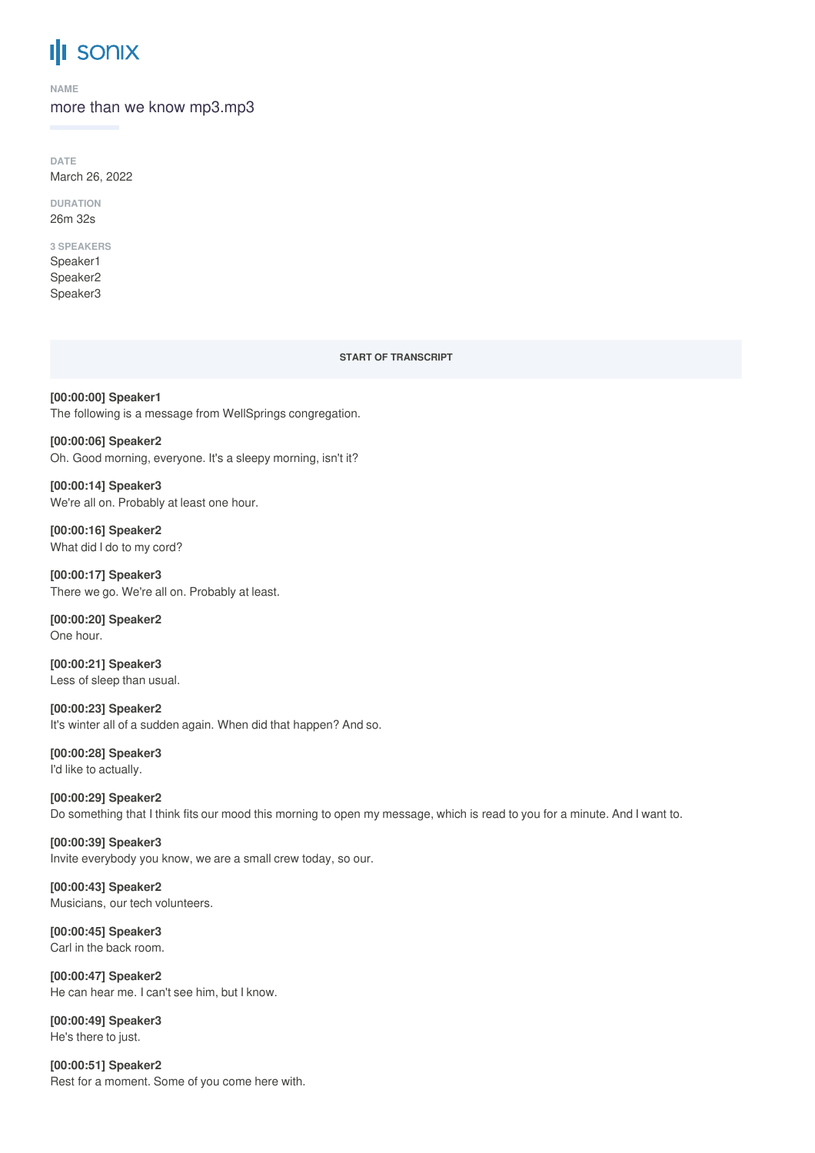# **III SONIX**

**NAME**

more than we know mp3.mp3

**DATE** March 26, 2022

**DURATION** 26m 32s

# **3 SPEAKERS**

Speaker1 Speaker2 Speaker3

#### **START OF TRANSCRIPT**

**[00:00:00] Speaker1** The following is a message from WellSprings congregation.

**[00:00:06] Speaker2** Oh. Good morning, everyone. It's a sleepy morning, isn't it?

**[00:00:14] Speaker3** We're all on. Probably at least one hour.

**[00:00:16] Speaker2** What did I do to my cord?

**[00:00:17] Speaker3** There we go. We're all on. Probably at least.

**[00:00:20] Speaker2** One hour.

**[00:00:21] Speaker3** Less of sleep than usual.

**[00:00:23] Speaker2** It's winter all of a sudden again. When did that happen? And so.

**[00:00:28] Speaker3** I'd like to actually.

**[00:00:29] Speaker2** Do something that I think fits our mood this morning to open my message, which is read to you for a minute. And I want to.

**[00:00:39] Speaker3** Invite everybody you know, we are a small crew today, so our.

**[00:00:43] Speaker2** Musicians, our tech volunteers.

**[00:00:45] Speaker3** Carl in the back room.

**[00:00:47] Speaker2** He can hear me. I can't see him, but I know.

**[00:00:49] Speaker3** He's there to just.

**[00:00:51] Speaker2** Rest for a moment. Some of you come here with.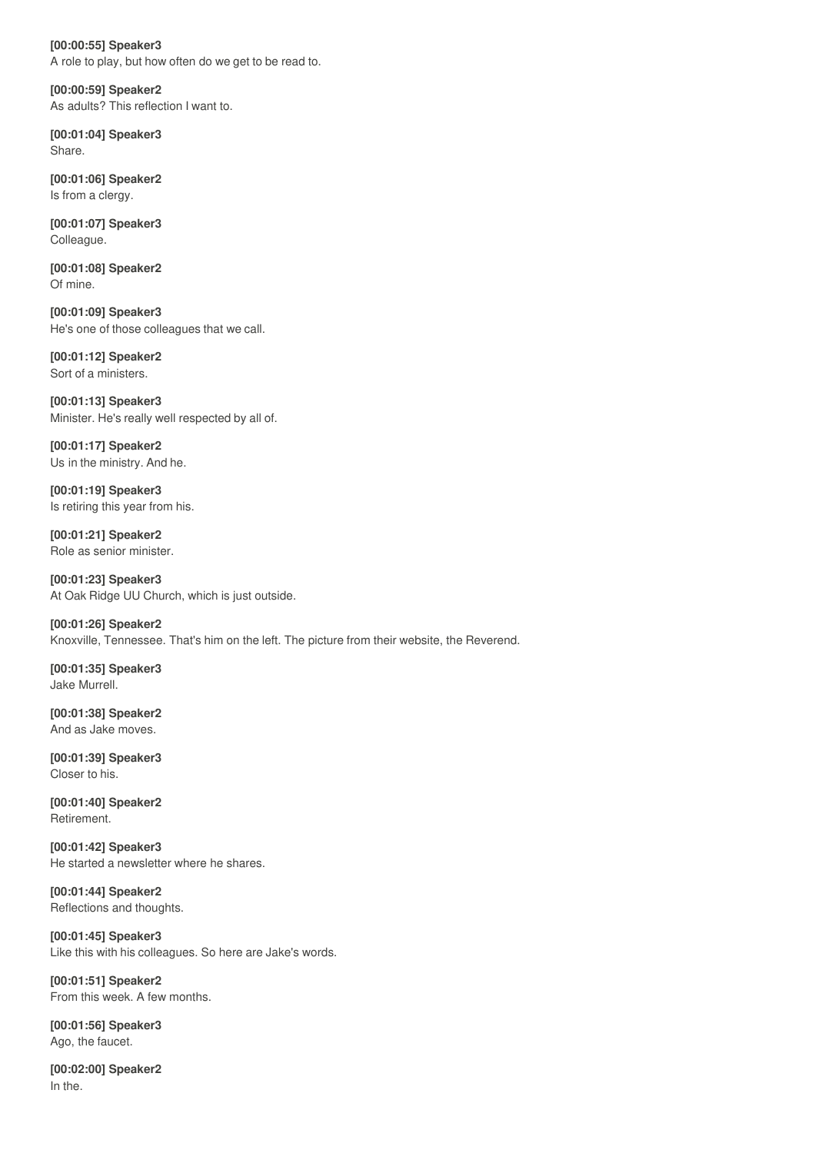**[00:00:55] Speaker3** A role to play, but how often do we get to be read to.

**[00:00:59] Speaker2** As adults? This reflection I want to.

**[00:01:04] Speaker3** Share.

**[00:01:06] Speaker2** Is from a clergy.

**[00:01:07] Speaker3** Colleague.

**[00:01:08] Speaker2** Of mine.

**[00:01:09] Speaker3** He's one of those colleagues that we call.

**[00:01:12] Speaker2** Sort of a ministers.

**[00:01:13] Speaker3** Minister. He's really well respected by all of.

**[00:01:17] Speaker2** Us in the ministry. And he.

**[00:01:19] Speaker3** Is retiring this year from his.

**[00:01:21] Speaker2** Role as senior minister.

**[00:01:23] Speaker3** At Oak Ridge UU Church, which is just outside.

**[00:01:26] Speaker2** Knoxville, Tennessee. That's him on the left. The picture from their website, the Reverend.

**[00:01:35] Speaker3** Jake Murrell.

**[00:01:38] Speaker2** And as Jake moves.

**[00:01:39] Speaker3** Closer to his.

**[00:01:40] Speaker2** Retirement.

**[00:01:42] Speaker3** He started a newsletter where he shares.

**[00:01:44] Speaker2** Reflections and thoughts.

**[00:01:45] Speaker3** Like this with his colleagues. So here are Jake's words.

**[00:01:51] Speaker2** From this week. A few months.

**[00:01:56] Speaker3** Ago, the faucet.

**[00:02:00] Speaker2** In the.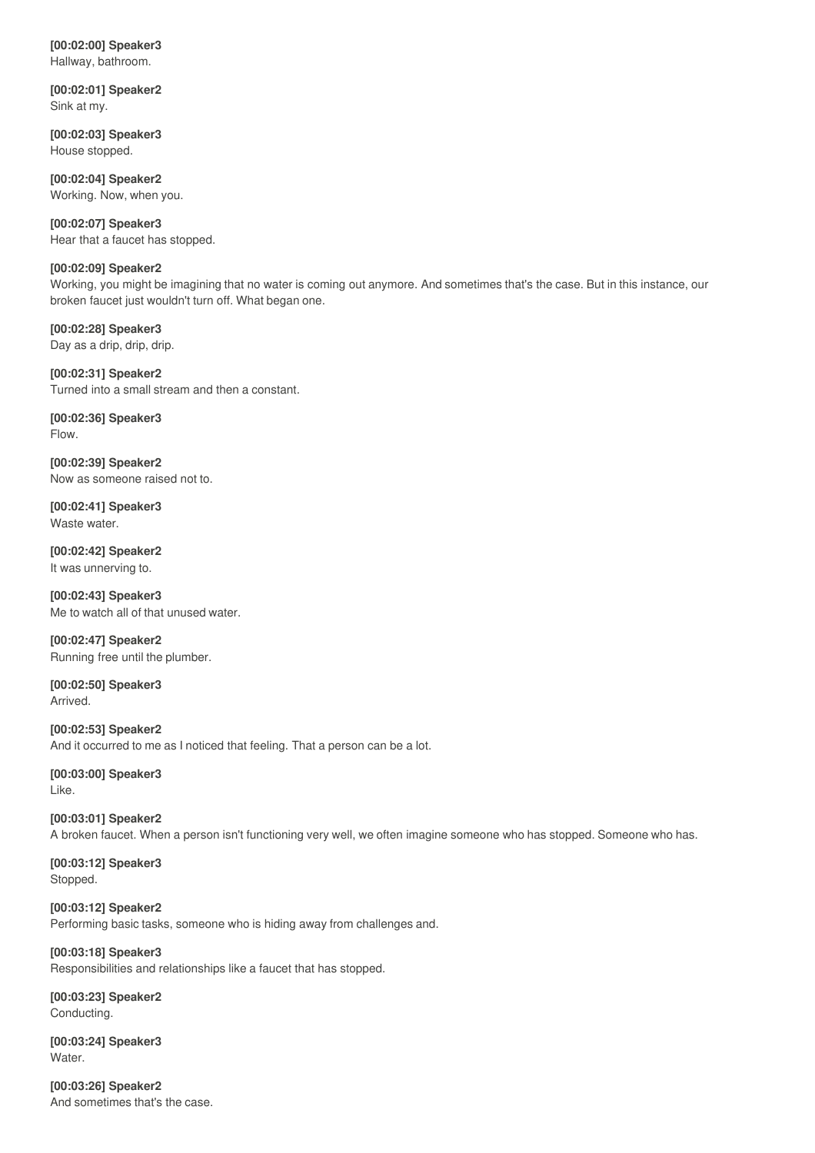# **[00:02:00] Speaker3** Hallway, bathroom.

**[00:02:01] Speaker2**

Sink at my.

**[00:02:03] Speaker3** House stopped.

**[00:02:04] Speaker2** Working. Now, when you.

**[00:02:07] Speaker3** Hear that a faucet has stopped.

# **[00:02:09] Speaker2**

Working, you might be imagining that no water is coming out anymore. And sometimes that's the case. But in this instance, our broken faucet just wouldn't turn off. What began one.

**[00:02:28] Speaker3** Day as a drip, drip, drip.

**[00:02:31] Speaker2** Turned into a small stream and then a constant.

**[00:02:36] Speaker3** Flow.

**[00:02:39] Speaker2** Now as someone raised not to.

**[00:02:41] Speaker3** Waste water.

**[00:02:42] Speaker2** It was unnerving to.

**[00:02:43] Speaker3** Me to watch all of that unused water.

**[00:02:47] Speaker2** Running free until the plumber.

**[00:02:50] Speaker3** Arrived.

**[00:02:53] Speaker2** And it occurred to me as I noticed that feeling. That a person can be a lot.

**[00:03:00] Speaker3** Like.

**[00:03:01] Speaker2** A broken faucet. When a person isn't functioning very well, we often imagine someone who has stopped. Someone who has.

**[00:03:12] Speaker3** Stopped.

**[00:03:12] Speaker2** Performing basic tasks, someone who is hiding away from challenges and.

**[00:03:18] Speaker3** Responsibilities and relationships like a faucet that has stopped.

**[00:03:23] Speaker2** Conducting.

**[00:03:24] Speaker3** Water.

**[00:03:26] Speaker2** And sometimes that's the case.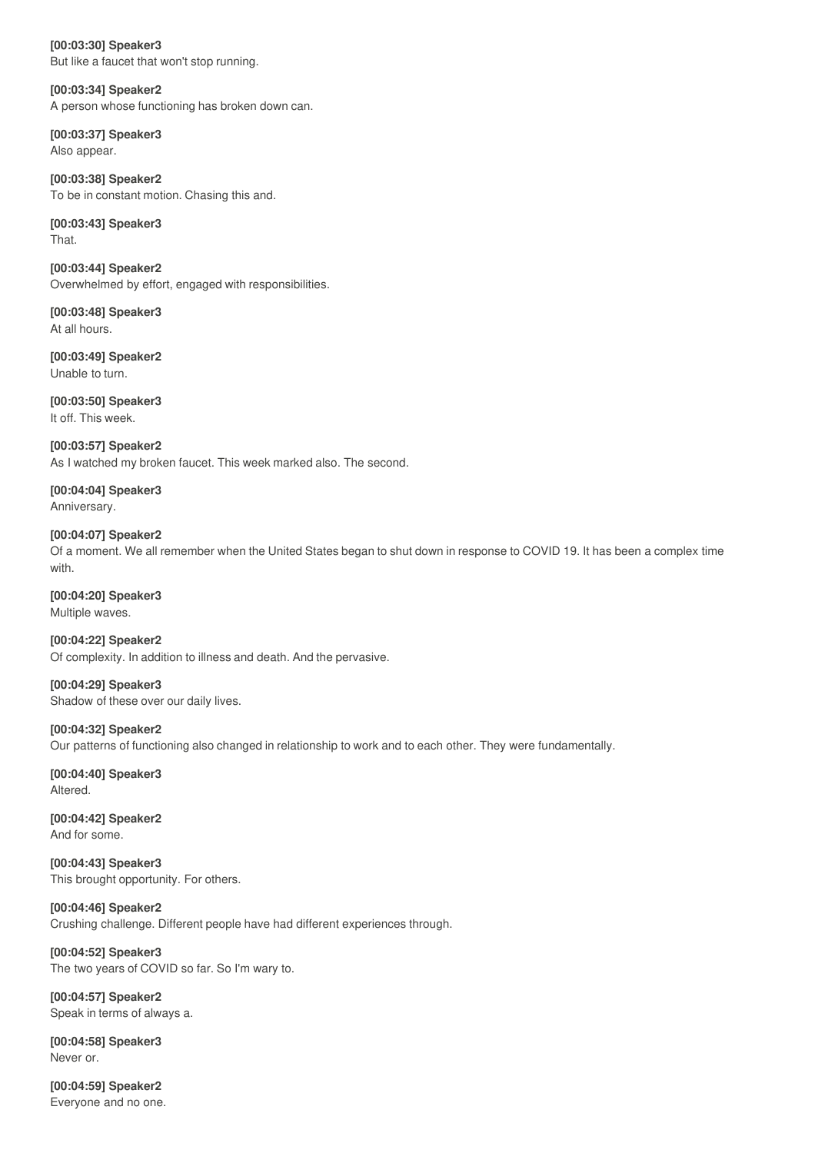**[00:03:30] Speaker3** But like a faucet that won't stop running.

**[00:03:34] Speaker2** A person whose functioning has broken down can.

**[00:03:37] Speaker3** Also appear.

**[00:03:38] Speaker2** To be in constant motion. Chasing this and.

**[00:03:43] Speaker3** That.

**[00:03:44] Speaker2** Overwhelmed by effort, engaged with responsibilities.

**[00:03:48] Speaker3** At all hours.

**[00:03:49] Speaker2** Unable to turn.

**[00:03:50] Speaker3** It off. This week.

**[00:03:57] Speaker2** As I watched my broken faucet. This week marked also. The second.

**[00:04:04] Speaker3** Anniversary.

**[00:04:07] Speaker2** Of a moment. We all remember when the United States began to shut down in response to COVID 19. It has been a complex time with.

**[00:04:20] Speaker3** Multiple waves.

**[00:04:22] Speaker2** Of complexity. In addition to illness and death. And the pervasive.

**[00:04:29] Speaker3** Shadow of these over our daily lives.

**[00:04:32] Speaker2** Our patterns of functioning also changed in relationship to work and to each other. They were fundamentally.

**[00:04:40] Speaker3** Altered.

**[00:04:42] Speaker2** And for some.

**[00:04:43] Speaker3** This brought opportunity. For others.

**[00:04:46] Speaker2** Crushing challenge. Different people have had different experiences through.

**[00:04:52] Speaker3** The two years of COVID so far. So I'm wary to.

**[00:04:57] Speaker2** Speak in terms of always a.

**[00:04:58] Speaker3** Never or.

**[00:04:59] Speaker2** Everyone and no one.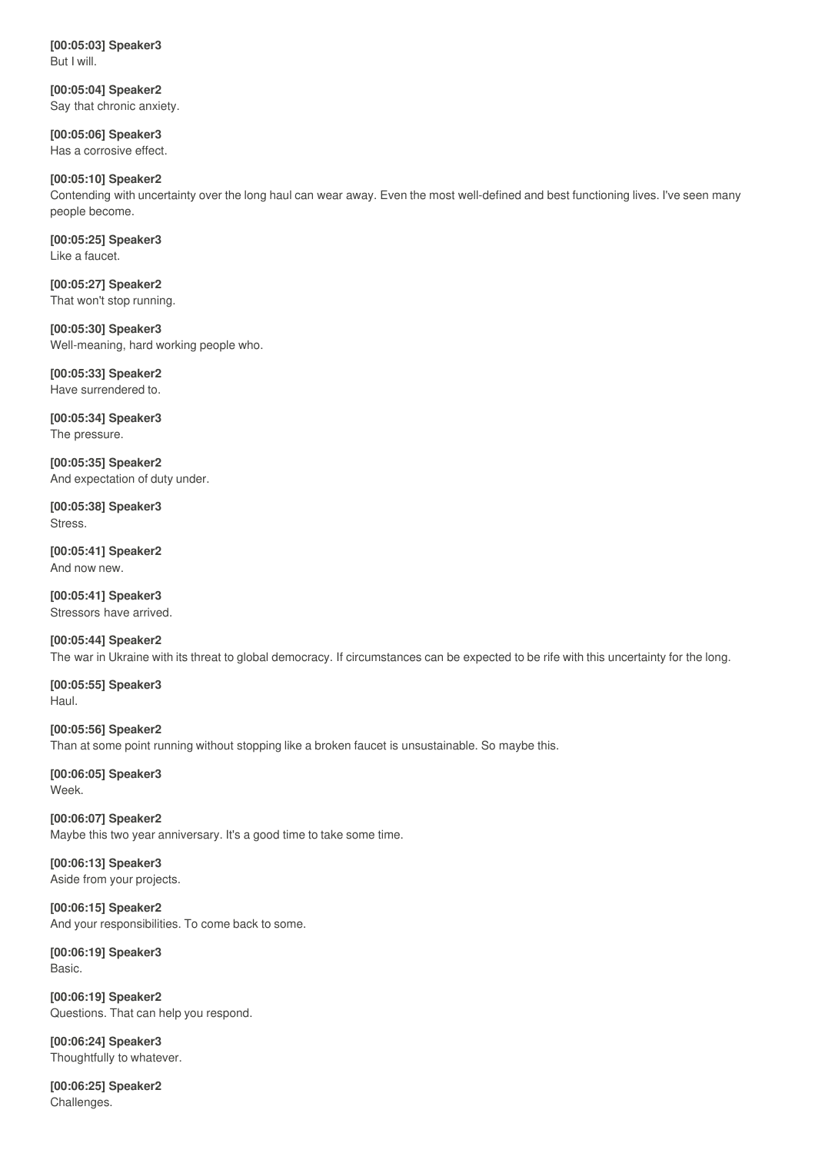**[00:05:03] Speaker3** But I will.

**[00:05:04] Speaker2** Say that chronic anxiety.

**[00:05:06] Speaker3** Has a corrosive effect.

# **[00:05:10] Speaker2**

Contending with uncertainty over the long haul can wear away. Even the most well-defined and best functioning lives. I've seen many people become.

**[00:05:25] Speaker3** Like a faucet.

**[00:05:27] Speaker2** That won't stop running.

**[00:05:30] Speaker3** Well-meaning, hard working people who.

**[00:05:33] Speaker2** Have surrendered to.

**[00:05:34] Speaker3** The pressure.

**[00:05:35] Speaker2** And expectation of duty under.

**[00:05:38] Speaker3** Stress.

**[00:05:41] Speaker2** And now new.

**[00:05:41] Speaker3** Stressors have arrived.

**[00:05:44] Speaker2** The war in Ukraine with its threat to global democracy. If circumstances can be expected to be rife with this uncertainty for the long.

**[00:05:55] Speaker3** Haul.

**[00:05:56] Speaker2** Than at some point running without stopping like a broken faucet is unsustainable. So maybe this.

**[00:06:05] Speaker3** Week.

**[00:06:07] Speaker2** Maybe this two year anniversary. It's a good time to take some time.

**[00:06:13] Speaker3** Aside from your projects.

**[00:06:15] Speaker2** And your responsibilities. To come back to some.

**[00:06:19] Speaker3** Basic.

**[00:06:19] Speaker2** Questions. That can help you respond.

**[00:06:24] Speaker3** Thoughtfully to whatever.

**[00:06:25] Speaker2** Challenges.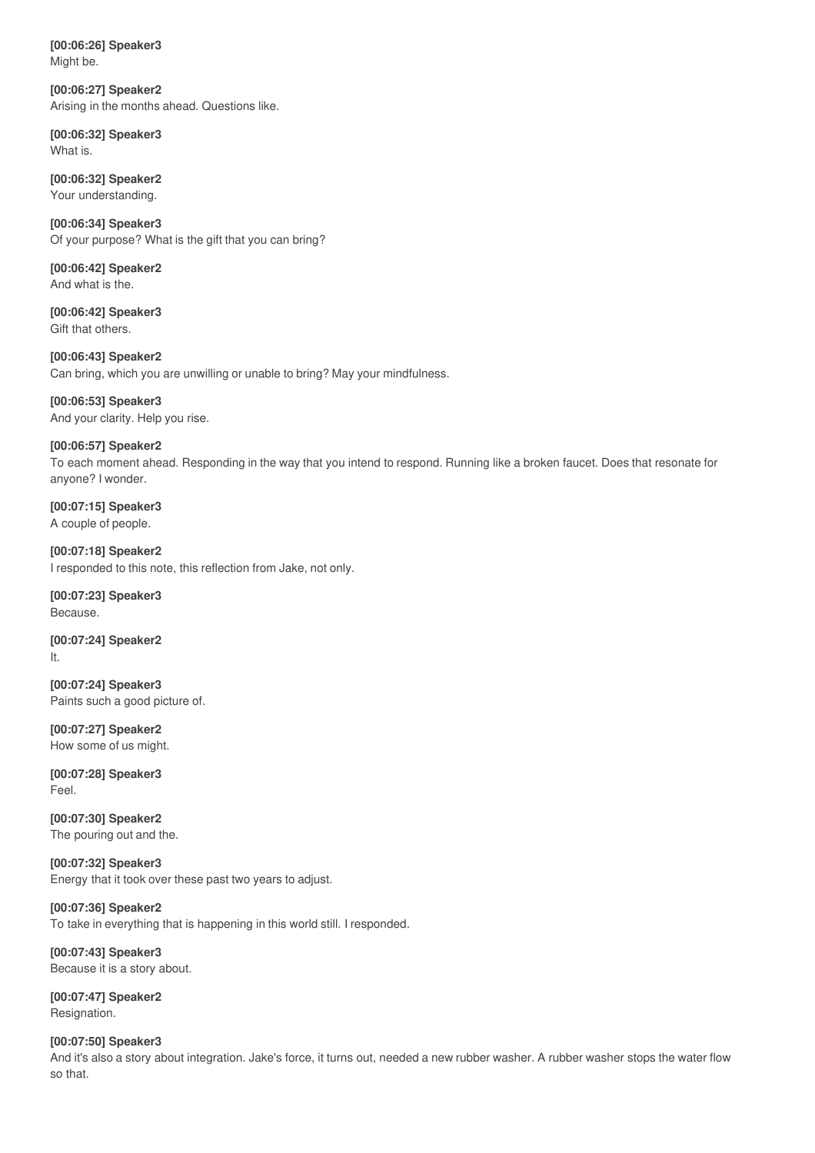**[00:06:26] Speaker3** Might be.

**[00:06:27] Speaker2** Arising in the months ahead. Questions like.

**[00:06:32] Speaker3** What is.

**[00:06:32] Speaker2** Your understanding.

**[00:06:34] Speaker3** Of your purpose? What is the gift that you can bring?

**[00:06:42] Speaker2** And what is the.

**[00:06:42] Speaker3** Gift that others.

**[00:06:43] Speaker2** Can bring, which you are unwilling or unable to bring? May your mindfulness.

**[00:06:53] Speaker3** And your clarity. Help you rise.

**[00:06:57] Speaker2** To each moment ahead. Responding in the way that you intend to respond. Running like a broken faucet. Does that resonate for anyone? I wonder.

**[00:07:15] Speaker3** A couple of people.

**[00:07:18] Speaker2** I responded to this note, this reflection from Jake, not only.

**[00:07:23] Speaker3** Because.

**[00:07:24] Speaker2** It.

**[00:07:24] Speaker3** Paints such a good picture of.

**[00:07:27] Speaker2** How some of us might.

**[00:07:28] Speaker3** Feel.

**[00:07:30] Speaker2** The pouring out and the.

**[00:07:32] Speaker3** Energy that it took over these past two years to adjust.

**[00:07:36] Speaker2** To take in everything that is happening in this world still. I responded.

**[00:07:43] Speaker3** Because it is a story about.

**[00:07:47] Speaker2** Resignation.

**[00:07:50] Speaker3** And it's also a story about integration. Jake's force, it turns out, needed a new rubber washer. A rubber washer stops the water flow so that.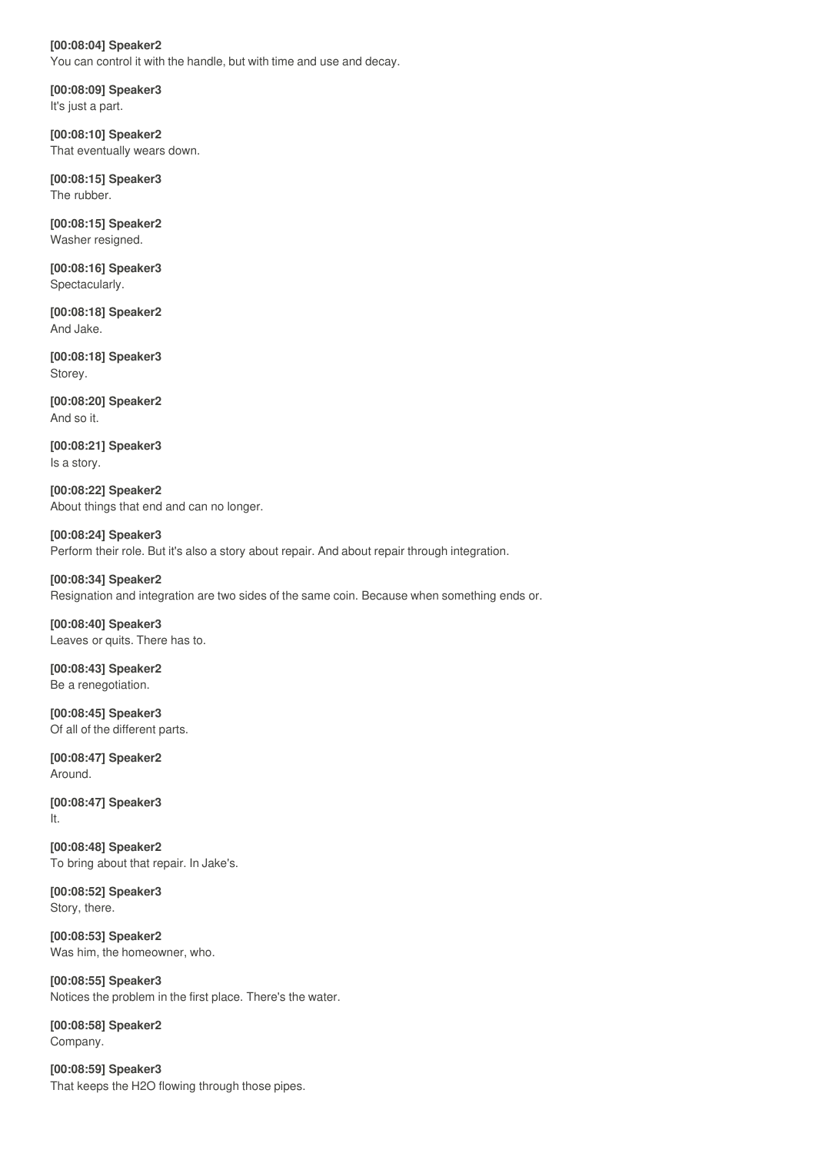# **[00:08:04] Speaker2** You can control it with the handle, but with time and use and decay.

**[00:08:09] Speaker3** It's just a part.

**[00:08:10] Speaker2** That eventually wears down.

**[00:08:15] Speaker3** The rubber.

**[00:08:15] Speaker2** Washer resigned.

**[00:08:16] Speaker3** Spectacularly.

**[00:08:18] Speaker2** And Jake.

**[00:08:18] Speaker3** Storey.

**[00:08:20] Speaker2** And so it.

**[00:08:21] Speaker3** Is a story.

**[00:08:22] Speaker2** About things that end and can no longer.

**[00:08:24] Speaker3** Perform their role. But it's also a story about repair. And about repair through integration.

**[00:08:34] Speaker2** Resignation and integration are two sides of the same coin. Because when something ends or.

**[00:08:40] Speaker3** Leaves or quits. There has to.

**[00:08:43] Speaker2** Be a renegotiation.

**[00:08:45] Speaker3** Of all of the different parts.

**[00:08:47] Speaker2** Around.

**[00:08:47] Speaker3** It.

**[00:08:48] Speaker2** To bring about that repair. In Jake's.

**[00:08:52] Speaker3** Story, there.

**[00:08:53] Speaker2** Was him, the homeowner, who.

**[00:08:55] Speaker3** Notices the problem in the first place. There's the water.

**[00:08:58] Speaker2** Company.

**[00:08:59] Speaker3** That keeps the H2O flowing through those pipes.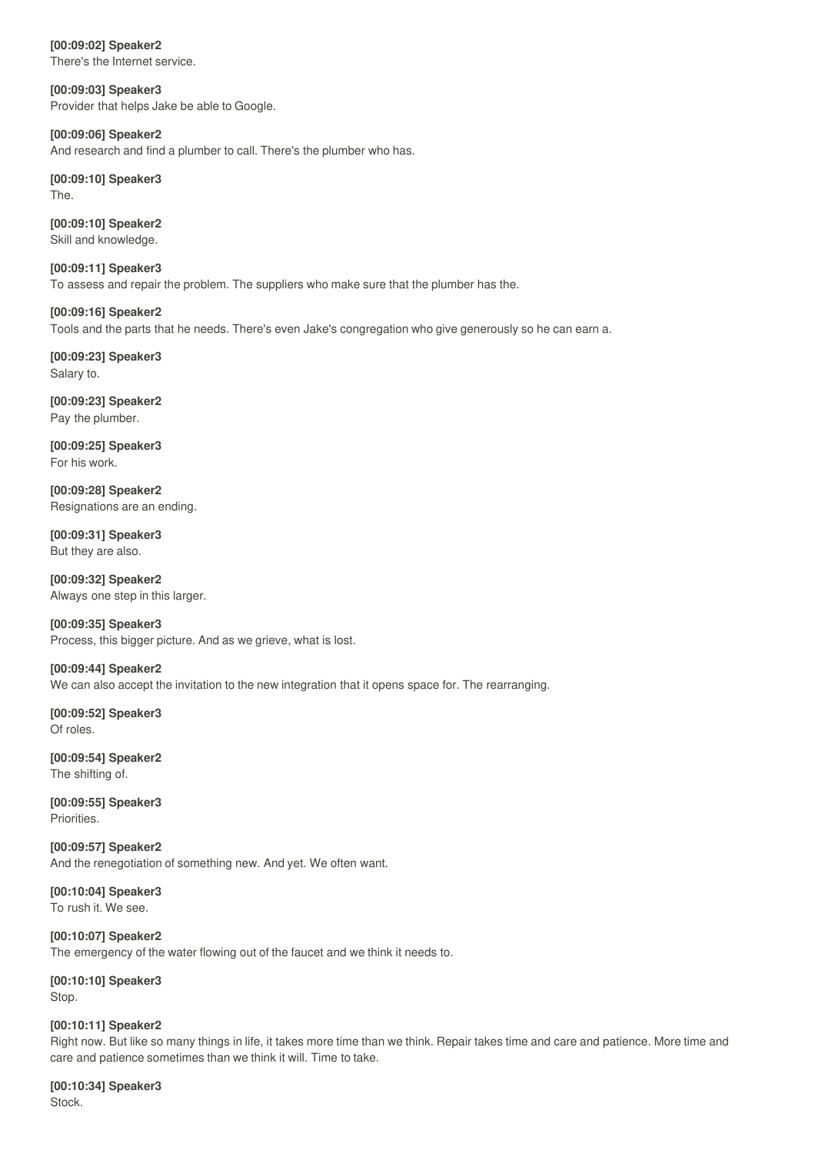**[00:09:02] Speaker2** There's the Internet service.

**[00:09:03] Speaker3** Provider that helps Jake be able to Google.

**[00:09:06] Speaker2** And research and find a plumber to call. There's the plumber who has.

**[00:09:10] Speaker3** The.

**[00:09:10] Speaker2** Skill and knowledge.

**[00:09:11] Speaker3** To assess and repair the problem. The suppliers who make sure that the plumber has the.

Tools and the parts that he needs. There's even Jake's congregation who give generously so he can earn a.

**[00:09:23] Speaker3** Salary to.

**[00:09:16] Speaker2**

**[00:09:23] Speaker2** Pay the plumber.

**[00:09:25] Speaker3** For his work.

**[00:09:28] Speaker2** Resignations are an ending.

**[00:09:31] Speaker3** But they are also.

**[00:09:32] Speaker2** Always one step in this larger.

**[00:09:35] Speaker3** Process, this bigger picture. And as we grieve, what is lost.

**[00:09:44] Speaker2** We can also accept the invitation to the new integration that it opens space for. The rearranging.

**[00:09:52] Speaker3** Of roles.

**[00:09:54] Speaker2** The shifting of.

**[00:09:55] Speaker3** Priorities.

**[00:09:57] Speaker2** And the renegotiation of something new. And yet. We often want.

**[00:10:04] Speaker3** To rush it. We see.

**[00:10:07] Speaker2** The emergency of the water flowing out of the faucet and we think it needs to.

**[00:10:10] Speaker3** Stop.

# **[00:10:11] Speaker2**

Right now. But like so many things in life, it takes more time than we think. Repair takes time and care and patience. More time and care and patience sometimes than we think it will. Time to take.

**[00:10:34] Speaker3** Stock.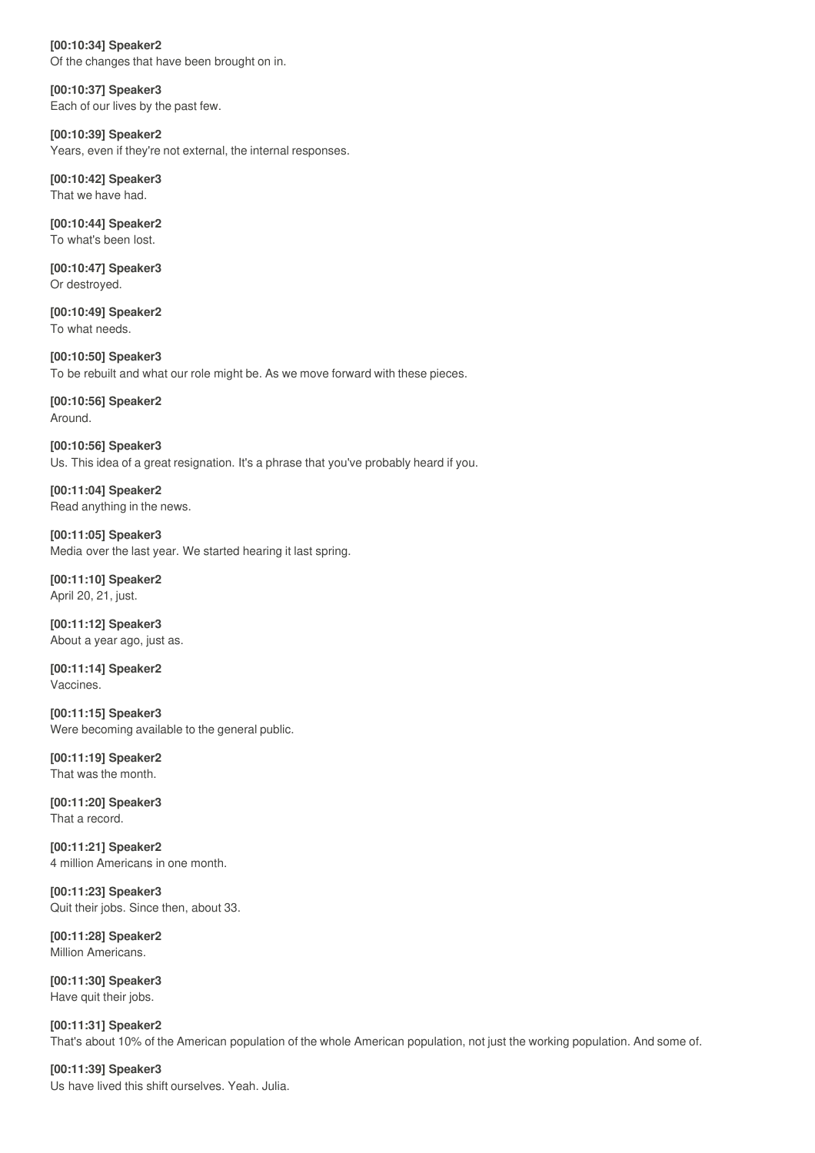**[00:10:34] Speaker2** Of the changes that have been brought on in.

**[00:10:37] Speaker3** Each of our lives by the past few.

**[00:10:39] Speaker2** Years, even if they're not external, the internal responses.

**[00:10:42] Speaker3** That we have had.

**[00:10:44] Speaker2** To what's been lost.

**[00:10:47] Speaker3** Or destroyed.

**[00:10:49] Speaker2** To what needs.

**[00:10:50] Speaker3** To be rebuilt and what our role might be. As we move forward with these pieces.

**[00:10:56] Speaker2** Around.

**[00:10:56] Speaker3** Us. This idea of a great resignation. It's a phrase that you've probably heard if you.

**[00:11:04] Speaker2** Read anything in the news.

**[00:11:05] Speaker3** Media over the last year. We started hearing it last spring.

**[00:11:10] Speaker2** April 20, 21, just.

**[00:11:12] Speaker3** About a year ago, just as.

**[00:11:14] Speaker2** Vaccines.

**[00:11:15] Speaker3** Were becoming available to the general public.

**[00:11:19] Speaker2** That was the month.

**[00:11:20] Speaker3** That a record.

**[00:11:21] Speaker2** 4 million Americans in one month.

**[00:11:23] Speaker3** Quit their jobs. Since then, about 33.

**[00:11:28] Speaker2** Million Americans.

**[00:11:30] Speaker3** Have quit their jobs.

**[00:11:31] Speaker2** That's about 10% of the American population of the whole American population, not just the working population. And some of.

**[00:11:39] Speaker3** Us have lived this shift ourselves. Yeah. Julia.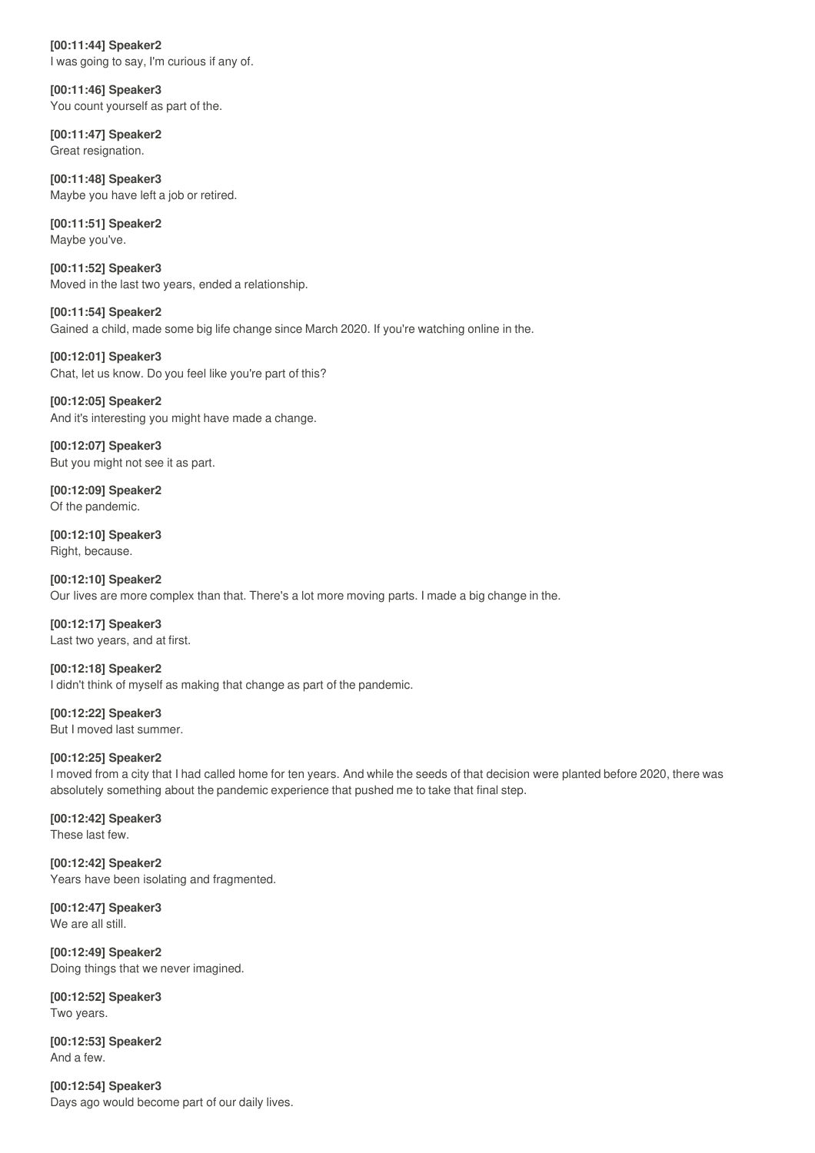**[00:11:44] Speaker2** I was going to say, I'm curious if any of.

**[00:11:46] Speaker3** You count yourself as part of the.

**[00:11:47] Speaker2** Great resignation.

**[00:11:48] Speaker3** Maybe you have left a job or retired.

**[00:11:51] Speaker2** Maybe you've.

**[00:11:52] Speaker3** Moved in the last two years, ended a relationship.

**[00:11:54] Speaker2** Gained a child, made some big life change since March 2020. If you're watching online in the.

**[00:12:01] Speaker3** Chat, let us know. Do you feel like you're part of this?

**[00:12:05] Speaker2** And it's interesting you might have made a change.

**[00:12:07] Speaker3** But you might not see it as part.

**[00:12:09] Speaker2** Of the pandemic.

**[00:12:10] Speaker3** Right, because.

**[00:12:10] Speaker2** Our lives are more complex than that. There's a lot more moving parts. I made a big change in the.

**[00:12:17] Speaker3** Last two years, and at first.

**[00:12:18] Speaker2** I didn't think of myself as making that change as part of the pandemic.

**[00:12:22] Speaker3** But I moved last summer.

# **[00:12:25] Speaker2**

I moved from a city that I had called home for ten years. And while the seeds of that decision were planted before 2020, there was absolutely something about the pandemic experience that pushed me to take that final step.

**[00:12:42] Speaker3** These last few.

**[00:12:42] Speaker2** Years have been isolating and fragmented.

**[00:12:47] Speaker3** We are all still.

**[00:12:49] Speaker2** Doing things that we never imagined.

**[00:12:52] Speaker3** Two years.

**[00:12:53] Speaker2** And a few.

**[00:12:54] Speaker3** Days ago would become part of our daily lives.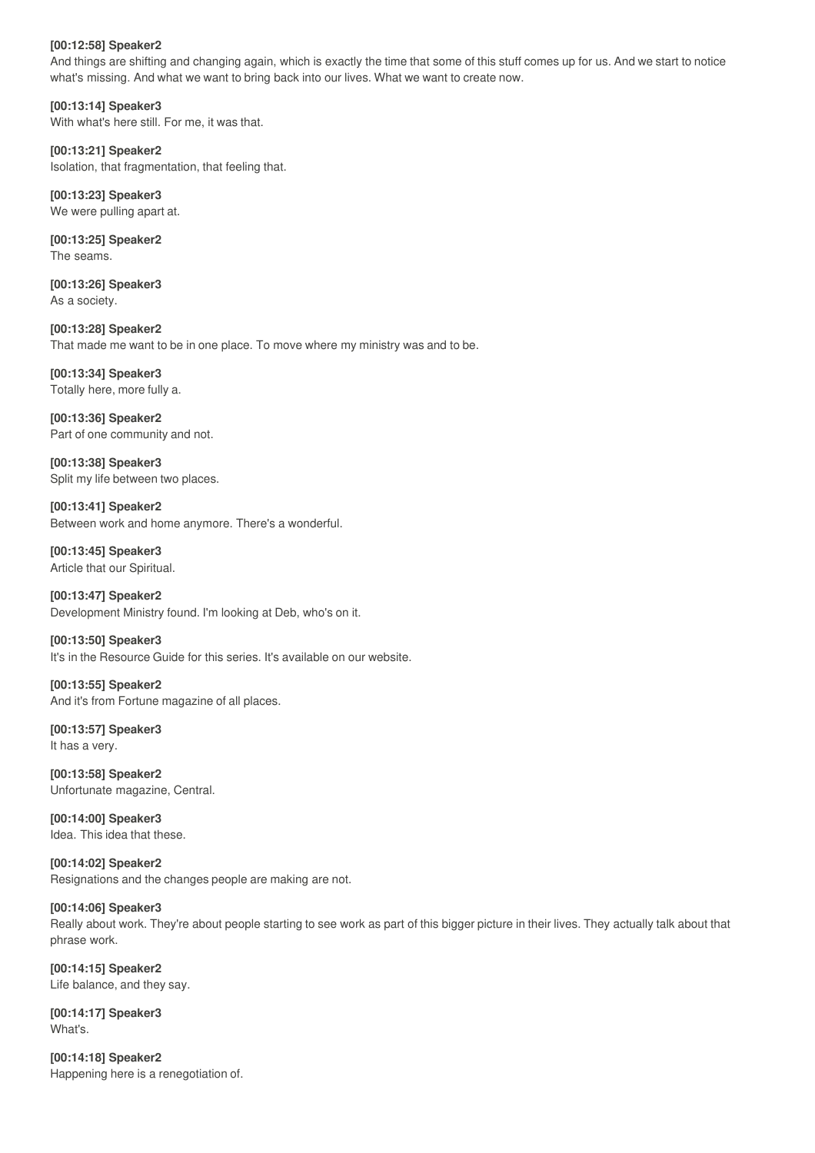#### **[00:12:58] Speaker2**

And things are shifting and changing again, which is exactly the time that some of this stuff comes up for us. And we start to notice what's missing. And what we want to bring back into our lives. What we want to create now.

**[00:13:14] Speaker3** With what's here still. For me, it was that.

**[00:13:21] Speaker2** Isolation, that fragmentation, that feeling that.

**[00:13:23] Speaker3** We were pulling apart at.

**[00:13:25] Speaker2** The seams.

**[00:13:26] Speaker3** As a society.

**[00:13:28] Speaker2** That made me want to be in one place. To move where my ministry was and to be.

**[00:13:34] Speaker3** Totally here, more fully a.

**[00:13:36] Speaker2** Part of one community and not.

**[00:13:38] Speaker3** Split my life between two places.

**[00:13:41] Speaker2** Between work and home anymore. There's a wonderful.

**[00:13:45] Speaker3** Article that our Spiritual.

**[00:13:47] Speaker2** Development Ministry found. I'm looking at Deb, who's on it.

**[00:13:50] Speaker3** It's in the Resource Guide for this series. It's available on our website.

**[00:13:55] Speaker2** And it's from Fortune magazine of all places.

**[00:13:57] Speaker3** It has a very.

**[00:13:58] Speaker2** Unfortunate magazine, Central.

**[00:14:00] Speaker3** Idea. This idea that these.

**[00:14:02] Speaker2** Resignations and the changes people are making are not.

# **[00:14:06] Speaker3**

Really about work. They're about people starting to see work as part of this bigger picture in their lives. They actually talk about that phrase work.

**[00:14:15] Speaker2** Life balance, and they say.

**[00:14:17] Speaker3** What's.

**[00:14:18] Speaker2** Happening here is a renegotiation of.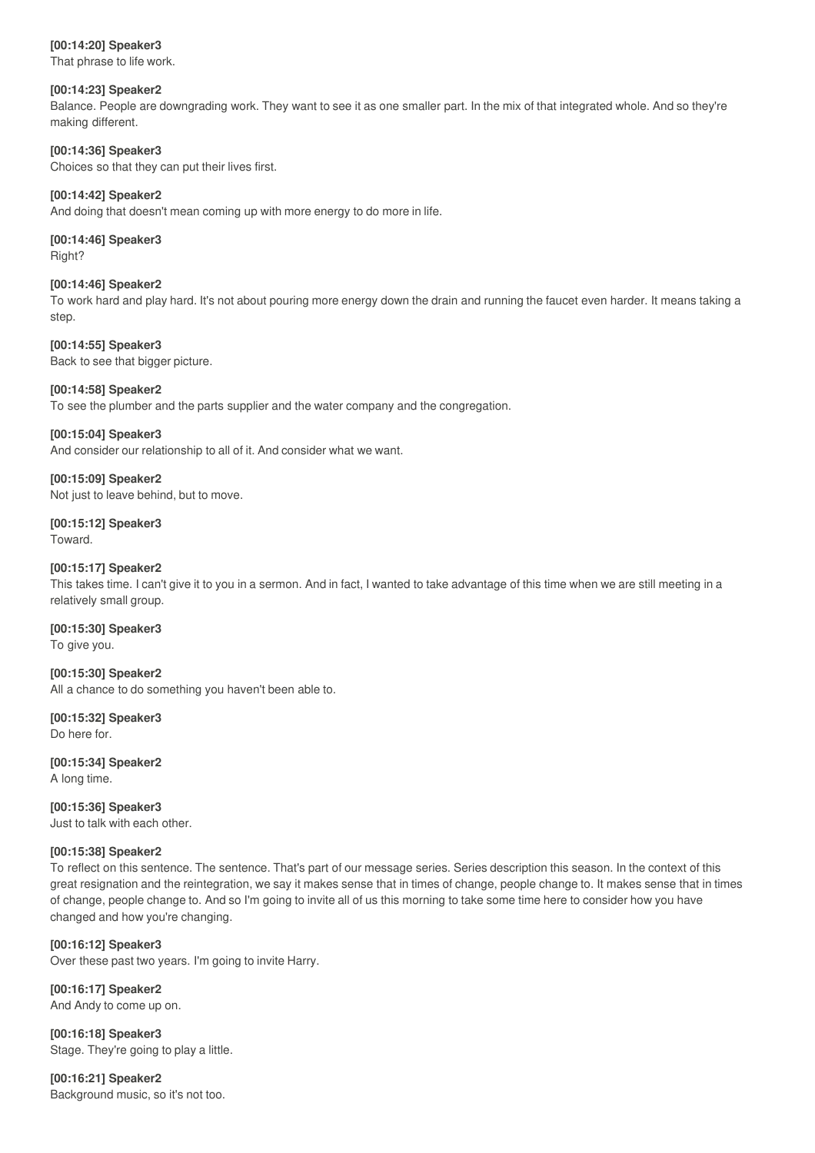#### **[00:14:20] Speaker3**

That phrase to life work.

#### **[00:14:23] Speaker2**

Balance. People are downgrading work. They want to see it as one smaller part. In the mix of that integrated whole. And so they're making different.

#### **[00:14:36] Speaker3**

Choices so that they can put their lives first.

#### **[00:14:42] Speaker2**

And doing that doesn't mean coming up with more energy to do more in life.

#### **[00:14:46] Speaker3** Right?

#### **[00:14:46] Speaker2**

To work hard and play hard. It's not about pouring more energy down the drain and running the faucet even harder. It means taking a step.

**[00:14:55] Speaker3** Back to see that bigger picture.

# **[00:14:58] Speaker2**

To see the plumber and the parts supplier and the water company and the congregation.

#### **[00:15:04] Speaker3**

And consider our relationship to all of it. And consider what we want.

**[00:15:09] Speaker2** Not just to leave behind, but to move.

# **[00:15:12] Speaker3** Toward.

#### **[00:15:17] Speaker2**

This takes time. I can't give it to you in a sermon. And in fact, I wanted to take advantage of this time when we are still meeting in a relatively small group.

#### **[00:15:30] Speaker3**

To give you.

# **[00:15:30] Speaker2**

All a chance to do something you haven't been able to.

**[00:15:32] Speaker3** Do here for.

**[00:15:34] Speaker2** A long time.

**[00:15:36] Speaker3** Just to talk with each other.

# **[00:15:38] Speaker2**

To reflect on this sentence. The sentence. That's part of our message series. Series description this season. In the context of this great resignation and the reintegration, we say it makes sense that in times of change, people change to. It makes sense that in times of change, people change to. And so I'm going to invite all of us this morning to take some time here to consider how you have changed and how you're changing.

# **[00:16:12] Speaker3**

Over these past two years. I'm going to invite Harry.

**[00:16:17] Speaker2** And Andy to come up on.

**[00:16:18] Speaker3** Stage. They're going to play a little.

**[00:16:21] Speaker2** Background music, so it's not too.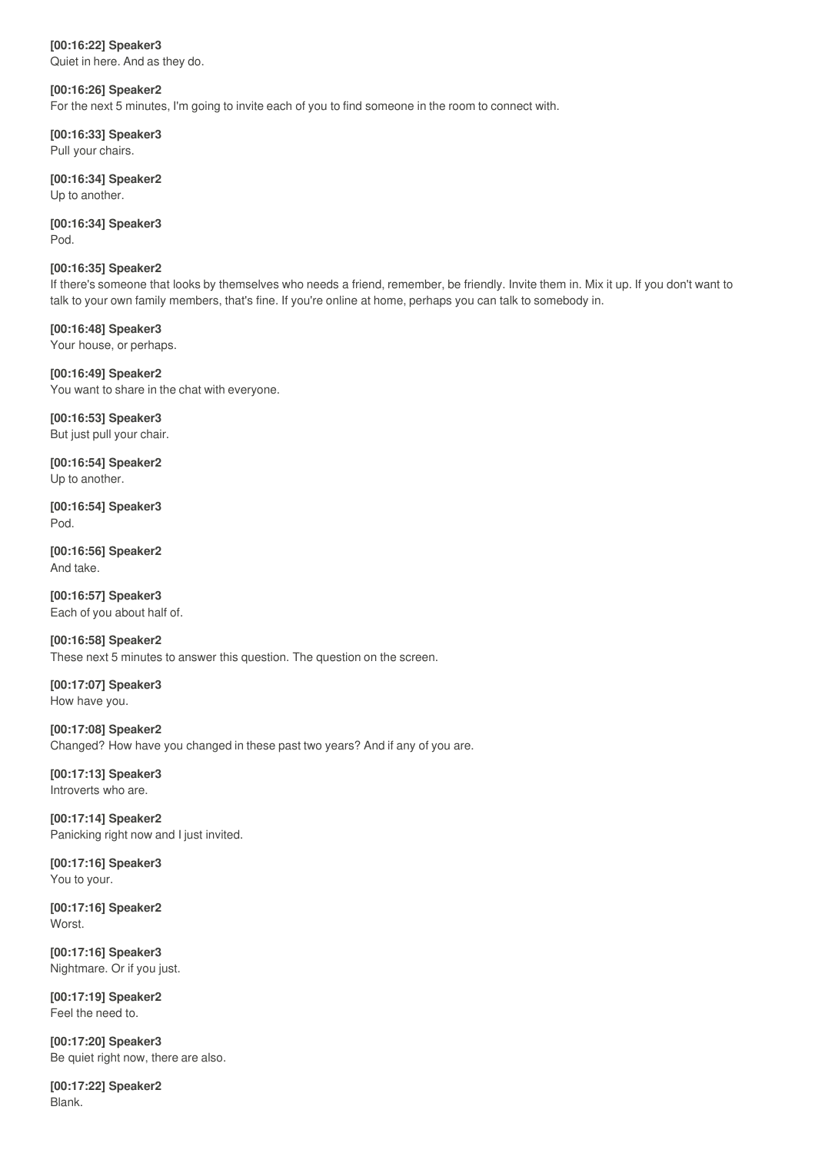# **[00:16:22] Speaker3**

Quiet in here. And as they do.

# **[00:16:26] Speaker2**

For the next 5 minutes, I'm going to invite each of you to find someone in the room to connect with.

**[00:16:33] Speaker3** Pull your chairs.

**[00:16:34] Speaker2** Up to another.

**[00:16:34] Speaker3** Pod.

#### **[00:16:35] Speaker2**

If there's someone that looks by themselves who needs a friend, remember, be friendly. Invite them in. Mix it up. If you don't want to talk to your own family members, that's fine. If you're online at home, perhaps you can talk to somebody in.

**[00:16:48] Speaker3** Your house, or perhaps.

**[00:16:49] Speaker2** You want to share in the chat with everyone.

**[00:16:53] Speaker3** But just pull your chair.

**[00:16:54] Speaker2** Up to another.

**[00:16:54] Speaker3** Pod.

**[00:16:56] Speaker2** And take.

**[00:16:57] Speaker3** Each of you about half of.

**[00:16:58] Speaker2** These next 5 minutes to answer this question. The question on the screen.

**[00:17:07] Speaker3** How have you.

**[00:17:08] Speaker2** Changed? How have you changed in these past two years? And if any of you are.

**[00:17:13] Speaker3** Introverts who are.

**[00:17:14] Speaker2** Panicking right now and I just invited.

**[00:17:16] Speaker3** You to your.

**[00:17:16] Speaker2 Worst** 

**[00:17:16] Speaker3** Nightmare. Or if you just.

**[00:17:19] Speaker2** Feel the need to.

**[00:17:20] Speaker3** Be quiet right now, there are also.

**[00:17:22] Speaker2** Blank.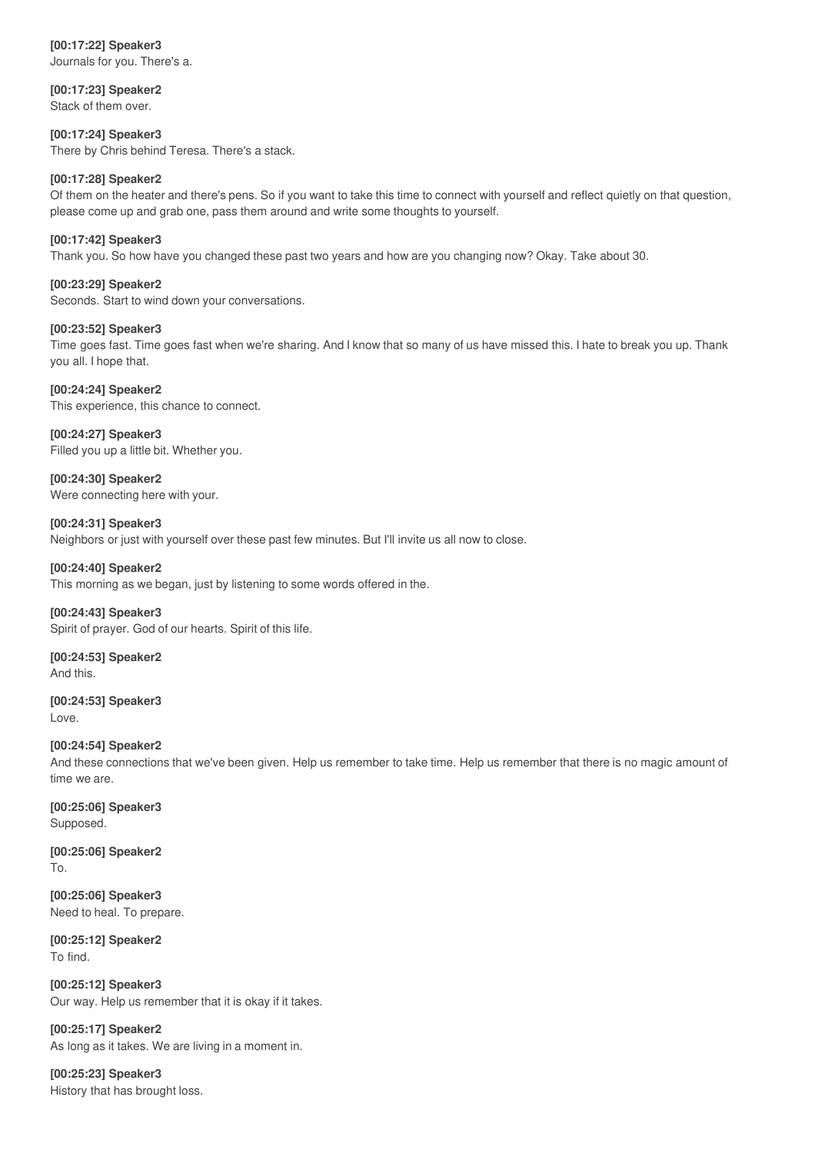# **[00:17:22] Speaker3**

Journals for you. There's a.

**[00:17:23] Speaker2** Stack of them over.

**[00:17:24] Speaker3** There by Chris behind Teresa. There's a stack.

# **[00:17:28] Speaker2**

Of them on the heater and there's pens. So if you want to take this time to connect with yourself and reflect quietly on that question, please come up and grab one, pass them around and write some thoughts to yourself.

# **[00:17:42] Speaker3**

Thank you. So how have you changed these past two years and how are you changing now? Okay. Take about 30.

# **[00:23:29] Speaker2**

Seconds. Start to wind down your conversations.

# **[00:23:52] Speaker3**

Time goes fast. Time goes fast when we're sharing. And I know that so many of us have missed this. I hate to break you up. Thank you all. I hope that.

# **[00:24:24] Speaker2**

This experience, this chance to connect.

# **[00:24:27] Speaker3**

Filled you up a little bit. Whether you.

**[00:24:30] Speaker2** Were connecting here with your.

**[00:24:31] Speaker3** Neighbors or just with yourself over these past few minutes. But I'll invite us all now to close.

# **[00:24:40] Speaker2**

This morning as we began, just by listening to some words offered in the.

#### **[00:24:43] Speaker3**

Spirit of prayer. God of our hearts. Spirit of this life.

**[00:24:53] Speaker2** And this.

**[00:24:53] Speaker3** Love.

# **[00:24:54] Speaker2**

And these connections that we've been given. Help us remember to take time. Help us remember that there is no magic amount of time we are.

**[00:25:06] Speaker3** Supposed.

**[00:25:06] Speaker2** To.

**[00:25:06] Speaker3** Need to heal. To prepare.

**[00:25:12] Speaker2** To find.

**[00:25:12] Speaker3** Our way. Help us remember that it is okay if it takes.

**[00:25:17] Speaker2** As long as it takes. We are living in a moment in.

**[00:25:23] Speaker3** History that has brought loss.